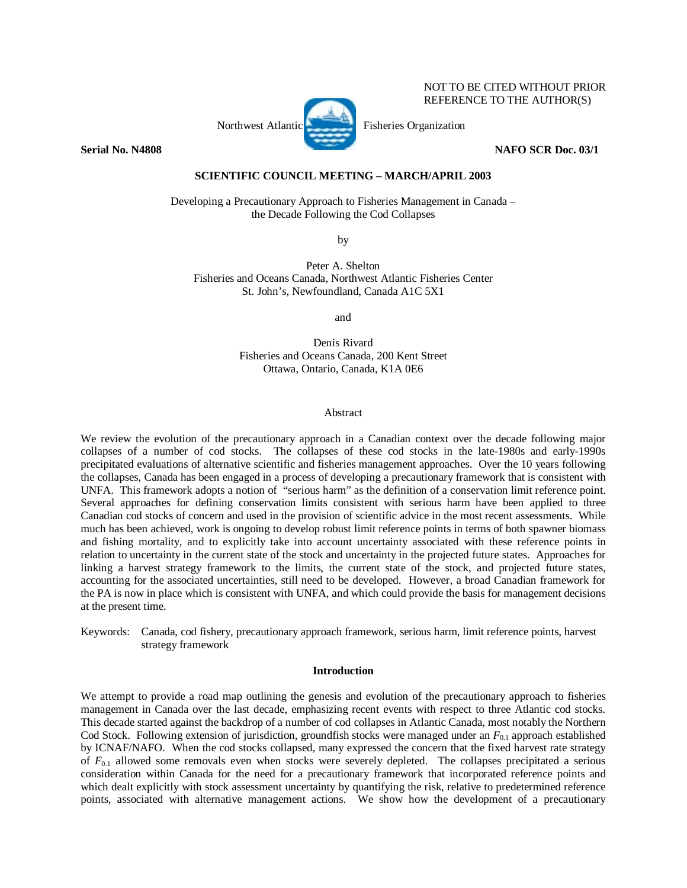# Northwest Atlantic Fisheries Organization

# **Serial No. N4808 NAFO SCR Doc. 03/1**

NOT TO BE CITED WITHOUT PRIOR REFERENCE TO THE AUTHOR(S)

# **SCIENTIFIC COUNCIL MEETING – MARCH/APRIL 2003**

Developing a Precautionary Approach to Fisheries Management in Canada – the Decade Following the Cod Collapses

by

Peter A. Shelton Fisheries and Oceans Canada, Northwest Atlantic Fisheries Center St. John's, Newfoundland, Canada A1C 5X1

and

Denis Rivard Fisheries and Oceans Canada, 200 Kent Street Ottawa, Ontario, Canada, K1A 0E6

#### Abstract

We review the evolution of the precautionary approach in a Canadian context over the decade following major collapses of a number of cod stocks. The collapses of these cod stocks in the late-1980s and early-1990s precipitated evaluations of alternative scientific and fisheries management approaches. Over the 10 years following the collapses, Canada has been engaged in a process of developing a precautionary framework that is consistent with UNFA. This framework adopts a notion of "serious harm" as the definition of a conservation limit reference point. Several approaches for defining conservation limits consistent with serious harm have been applied to three Canadian cod stocks of concern and used in the provision of scientific advice in the most recent assessments. While much has been achieved, work is ongoing to develop robust limit reference points in terms of both spawner biomass and fishing mortality, and to explicitly take into account uncertainty associated with these reference points in relation to uncertainty in the current state of the stock and uncertainty in the projected future states. Approaches for linking a harvest strategy framework to the limits, the current state of the stock, and projected future states, accounting for the associated uncertainties, still need to be developed. However, a broad Canadian framework for the PA is now in place which is consistent with UNFA, and which could provide the basis for management decisions at the present time.

Keywords: Canada, cod fishery, precautionary approach framework, serious harm, limit reference points, harvest strategy framework

#### **Introduction**

We attempt to provide a road map outlining the genesis and evolution of the precautionary approach to fisheries management in Canada over the last decade, emphasizing recent events with respect to three Atlantic cod stocks. This decade started against the backdrop of a number of cod collapses in Atlantic Canada, most notably the Northern Cod Stock. Following extension of jurisdiction, groundfish stocks were managed under an  $F_{0,1}$  approach established by ICNAF/NAFO. When the cod stocks collapsed, many expressed the concern that the fixed harvest rate strategy of  $F_{0,1}$  allowed some removals even when stocks were severely depleted. The collapses precipitated a serious consideration within Canada for the need for a precautionary framework that incorporated reference points and which dealt explicitly with stock assessment uncertainty by quantifying the risk, relative to predetermined reference points, associated with alternative management actions. We show how the development of a precautionary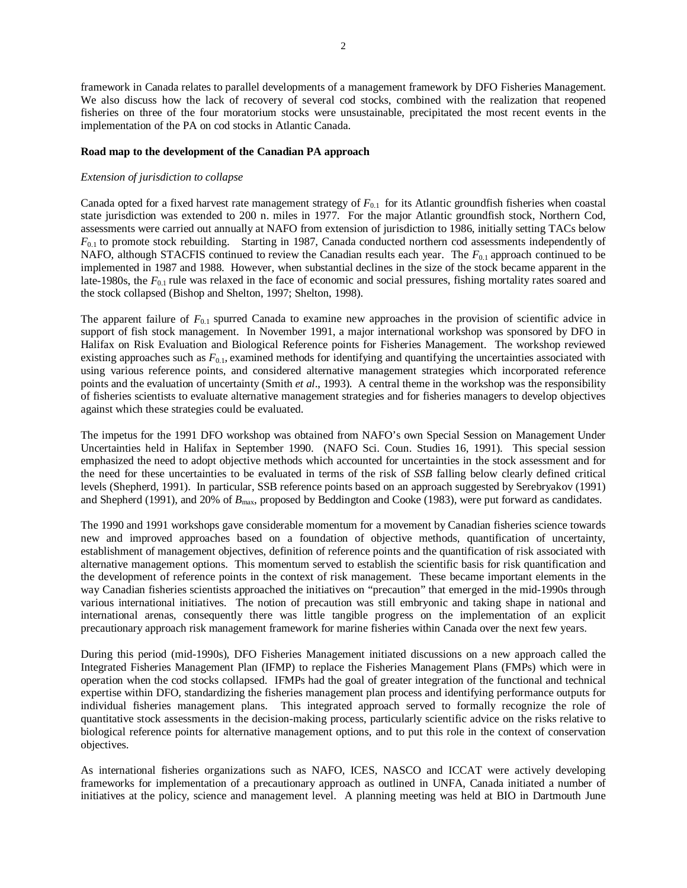2

framework in Canada relates to parallel developments of a management framework by DFO Fisheries Management. We also discuss how the lack of recovery of several cod stocks, combined with the realization that reopened fisheries on three of the four moratorium stocks were unsustainable, precipitated the most recent events in the implementation of the PA on cod stocks in Atlantic Canada.

# **Road map to the development of the Canadian PA approach**

# *Extension of jurisdiction to collapse*

Canada opted for a fixed harvest rate management strategy of  $F_{0,1}$  for its Atlantic groundfish fisheries when coastal state jurisdiction was extended to 200 n. miles in 1977. For the major Atlantic groundfish stock, Northern Cod, assessments were carried out annually at NAFO from extension of jurisdiction to 1986, initially setting TACs below *F*0.1 to promote stock rebuilding. Starting in 1987, Canada conducted northern cod assessments independently of NAFO, although STACFIS continued to review the Canadian results each year. The *F*0.1 approach continued to be implemented in 1987 and 1988. However, when substantial declines in the size of the stock became apparent in the late-1980s, the  $F_{0.1}$  rule was relaxed in the face of economic and social pressures, fishing mortality rates soared and the stock collapsed (Bishop and Shelton, 1997; Shelton, 1998).

The apparent failure of  $F_{0,1}$  spurred Canada to examine new approaches in the provision of scientific advice in support of fish stock management. In November 1991, a major international workshop was sponsored by DFO in Halifax on Risk Evaluation and Biological Reference points for Fisheries Management. The workshop reviewed existing approaches such as  $F_{0,1}$ , examined methods for identifying and quantifying the uncertainties associated with using various reference points, and considered alternative management strategies which incorporated reference points and the evaluation of uncertainty (Smith *et al*., 1993). A central theme in the workshop was the responsibility of fisheries scientists to evaluate alternative management strategies and for fisheries managers to develop objectives against which these strategies could be evaluated.

The impetus for the 1991 DFO workshop was obtained from NAFO's own Special Session on Management Under Uncertainties held in Halifax in September 1990. (NAFO Sci. Coun. Studies 16, 1991). This special session emphasized the need to adopt objective methods which accounted for uncertainties in the stock assessment and for the need for these uncertainties to be evaluated in terms of the risk of *SSB* falling below clearly defined critical levels (Shepherd, 1991). In particular, SSB reference points based on an approach suggested by Serebryakov (1991) and Shepherd (1991), and 20% of  $B_{\text{max}}$ , proposed by Beddington and Cooke (1983), were put forward as candidates.

The 1990 and 1991 workshops gave considerable momentum for a movement by Canadian fisheries science towards new and improved approaches based on a foundation of objective methods, quantification of uncertainty, establishment of management objectives, definition of reference points and the quantification of risk associated with alternative management options. This momentum served to establish the scientific basis for risk quantification and the development of reference points in the context of risk management. These became important elements in the way Canadian fisheries scientists approached the initiatives on "precaution" that emerged in the mid-1990s through various international initiatives. The notion of precaution was still embryonic and taking shape in national and international arenas, consequently there was little tangible progress on the implementation of an explicit precautionary approach risk management framework for marine fisheries within Canada over the next few years.

During this period (mid-1990s), DFO Fisheries Management initiated discussions on a new approach called the Integrated Fisheries Management Plan (IFMP) to replace the Fisheries Management Plans (FMPs) which were in operation when the cod stocks collapsed. IFMPs had the goal of greater integration of the functional and technical expertise within DFO, standardizing the fisheries management plan process and identifying performance outputs for individual fisheries management plans. This integrated approach served to formally recognize the role of quantitative stock assessments in the decision-making process, particularly scientific advice on the risks relative to biological reference points for alternative management options, and to put this role in the context of conservation objectives.

As international fisheries organizations such as NAFO, ICES, NASCO and ICCAT were actively developing frameworks for implementation of a precautionary approach as outlined in UNFA, Canada initiated a number of initiatives at the policy, science and management level. A planning meeting was held at BIO in Dartmouth June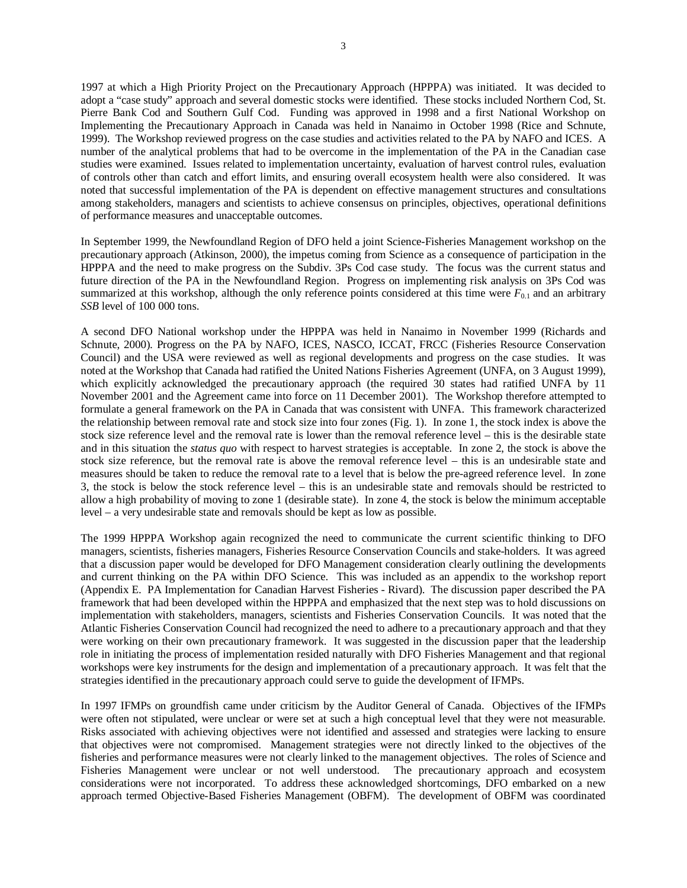1997 at which a High Priority Project on the Precautionary Approach (HPPPA) was initiated. It was decided to adopt a "case study" approach and several domestic stocks were identified. These stocks included Northern Cod, St. Pierre Bank Cod and Southern Gulf Cod. Funding was approved in 1998 and a first National Workshop on Implementing the Precautionary Approach in Canada was held in Nanaimo in October 1998 (Rice and Schnute, 1999). The Workshop reviewed progress on the case studies and activities related to the PA by NAFO and ICES. A number of the analytical problems that had to be overcome in the implementation of the PA in the Canadian case studies were examined. Issues related to implementation uncertainty, evaluation of harvest control rules, evaluation of controls other than catch and effort limits, and ensuring overall ecosystem health were also considered. It was noted that successful implementation of the PA is dependent on effective management structures and consultations among stakeholders, managers and scientists to achieve consensus on principles, objectives, operational definitions of performance measures and unacceptable outcomes.

In September 1999, the Newfoundland Region of DFO held a joint Science-Fisheries Management workshop on the precautionary approach (Atkinson, 2000), the impetus coming from Science as a consequence of participation in the HPPPA and the need to make progress on the Subdiv. 3Ps Cod case study. The focus was the current status and future direction of the PA in the Newfoundland Region. Progress on implementing risk analysis on 3Ps Cod was summarized at this workshop, although the only reference points considered at this time were  $F_{0,1}$  and an arbitrary *SSB* level of 100 000 tons.

A second DFO National workshop under the HPPPA was held in Nanaimo in November 1999 (Richards and Schnute, 2000). Progress on the PA by NAFO, ICES, NASCO, ICCAT, FRCC (Fisheries Resource Conservation Council) and the USA were reviewed as well as regional developments and progress on the case studies. It was noted at the Workshop that Canada had ratified the United Nations Fisheries Agreement (UNFA, on 3 August 1999), which explicitly acknowledged the precautionary approach (the required 30 states had ratified UNFA by 11 November 2001 and the Agreement came into force on 11 December 2001). The Workshop therefore attempted to formulate a general framework on the PA in Canada that was consistent with UNFA. This framework characterized the relationship between removal rate and stock size into four zones (Fig. 1). In zone 1, the stock index is above the stock size reference level and the removal rate is lower than the removal reference level – this is the desirable state and in this situation the *status quo* with respect to harvest strategies is acceptable. In zone 2, the stock is above the stock size reference, but the removal rate is above the removal reference level – this is an undesirable state and measures should be taken to reduce the removal rate to a level that is below the pre-agreed reference level. In zone 3, the stock is below the stock reference level – this is an undesirable state and removals should be restricted to allow a high probability of moving to zone 1 (desirable state). In zone 4, the stock is below the minimum acceptable level – a very undesirable state and removals should be kept as low as possible.

The 1999 HPPPA Workshop again recognized the need to communicate the current scientific thinking to DFO managers, scientists, fisheries managers, Fisheries Resource Conservation Councils and stake-holders. It was agreed that a discussion paper would be developed for DFO Management consideration clearly outlining the developments and current thinking on the PA within DFO Science. This was included as an appendix to the workshop report (Appendix E. PA Implementation for Canadian Harvest Fisheries - Rivard). The discussion paper described the PA framework that had been developed within the HPPPA and emphasized that the next step was to hold discussions on implementation with stakeholders, managers, scientists and Fisheries Conservation Councils. It was noted that the Atlantic Fisheries Conservation Council had recognized the need to adhere to a precautionary approach and that they were working on their own precautionary framework. It was suggested in the discussion paper that the leadership role in initiating the process of implementation resided naturally with DFO Fisheries Management and that regional workshops were key instruments for the design and implementation of a precautionary approach. It was felt that the strategies identified in the precautionary approach could serve to guide the development of IFMPs.

In 1997 IFMPs on groundfish came under criticism by the Auditor General of Canada. Objectives of the IFMPs were often not stipulated, were unclear or were set at such a high conceptual level that they were not measurable. Risks associated with achieving objectives were not identified and assessed and strategies were lacking to ensure that objectives were not compromised. Management strategies were not directly linked to the objectives of the fisheries and performance measures were not clearly linked to the management objectives. The roles of Science and Fisheries Management were unclear or not well understood. The precautionary approach and ecosystem considerations were not incorporated. To address these acknowledged shortcomings, DFO embarked on a new approach termed Objective-Based Fisheries Management (OBFM). The development of OBFM was coordinated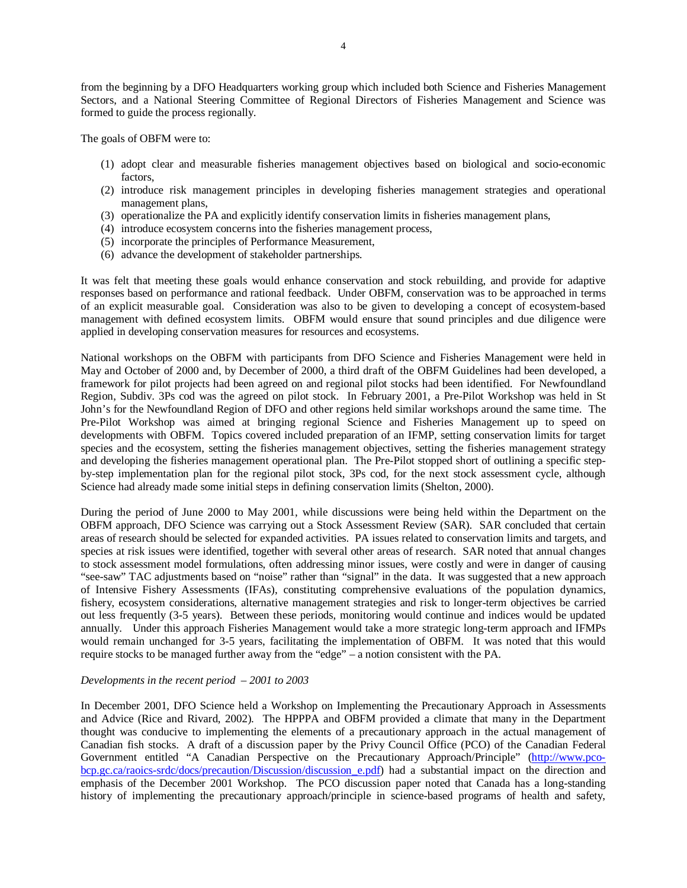from the beginning by a DFO Headquarters working group which included both Science and Fisheries Management Sectors, and a National Steering Committee of Regional Directors of Fisheries Management and Science was formed to guide the process regionally.

The goals of OBFM were to:

- (1) adopt clear and measurable fisheries management objectives based on biological and socio-economic factors,
- (2) introduce risk management principles in developing fisheries management strategies and operational management plans,
- (3) operationalize the PA and explicitly identify conservation limits in fisheries management plans,
- (4) introduce ecosystem concerns into the fisheries management process,
- (5) incorporate the principles of Performance Measurement,
- (6) advance the development of stakeholder partnerships.

It was felt that meeting these goals would enhance conservation and stock rebuilding, and provide for adaptive responses based on performance and rational feedback. Under OBFM, conservation was to be approached in terms of an explicit measurable goal. Consideration was also to be given to developing a concept of ecosystem-based management with defined ecosystem limits. OBFM would ensure that sound principles and due diligence were applied in developing conservation measures for resources and ecosystems.

National workshops on the OBFM with participants from DFO Science and Fisheries Management were held in May and October of 2000 and, by December of 2000, a third draft of the OBFM Guidelines had been developed, a framework for pilot projects had been agreed on and regional pilot stocks had been identified. For Newfoundland Region, Subdiv. 3Ps cod was the agreed on pilot stock. In February 2001, a Pre-Pilot Workshop was held in St John's for the Newfoundland Region of DFO and other regions held similar workshops around the same time. The Pre-Pilot Workshop was aimed at bringing regional Science and Fisheries Management up to speed on developments with OBFM. Topics covered included preparation of an IFMP, setting conservation limits for target species and the ecosystem, setting the fisheries management objectives, setting the fisheries management strategy and developing the fisheries management operational plan. The Pre-Pilot stopped short of outlining a specific stepby-step implementation plan for the regional pilot stock, 3Ps cod, for the next stock assessment cycle, although Science had already made some initial steps in defining conservation limits (Shelton, 2000).

During the period of June 2000 to May 2001, while discussions were being held within the Department on the OBFM approach, DFO Science was carrying out a Stock Assessment Review (SAR). SAR concluded that certain areas of research should be selected for expanded activities. PA issues related to conservation limits and targets, and species at risk issues were identified, together with several other areas of research. SAR noted that annual changes to stock assessment model formulations, often addressing minor issues, were costly and were in danger of causing "see-saw" TAC adjustments based on "noise" rather than "signal" in the data. It was suggested that a new approach of Intensive Fishery Assessments (IFAs), constituting comprehensive evaluations of the population dynamics, fishery, ecosystem considerations, alternative management strategies and risk to longer-term objectives be carried out less frequently (3-5 years). Between these periods, monitoring would continue and indices would be updated annually. Under this approach Fisheries Management would take a more strategic long-term approach and IFMPs would remain unchanged for 3-5 years, facilitating the implementation of OBFM. It was noted that this would require stocks to be managed further away from the "edge" – a notion consistent with the PA.

#### *Developments in the recent period – 2001 to 2003*

In December 2001, DFO Science held a Workshop on Implementing the Precautionary Approach in Assessments and Advice (Rice and Rivard, 2002). The HPPPA and OBFM provided a climate that many in the Department thought was conducive to implementing the elements of a precautionary approach in the actual management of Canadian fish stocks. A draft of a discussion paper by the Privy Council Office (PCO) of the Canadian Federal Government entitled "A Canadian Perspective on the Precautionary Approach/Principle" (http://www.pcobcp.gc.ca/raoics-srdc/docs/precaution/Discussion/discussion e.pdf) had a substantial impact on the direction and emphasis of the December 2001 Workshop. The PCO discussion paper noted that Canada has a long-standing history of implementing the precautionary approach/principle in science-based programs of health and safety,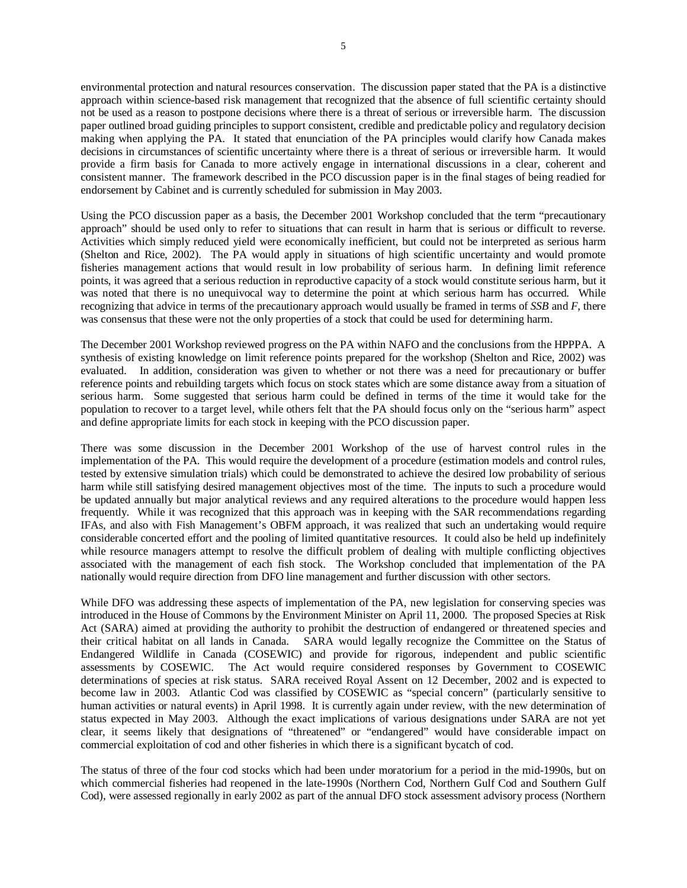environmental protection and natural resources conservation. The discussion paper stated that the PA is a distinctive approach within science-based risk management that recognized that the absence of full scientific certainty should not be used as a reason to postpone decisions where there is a threat of serious or irreversible harm. The discussion paper outlined broad guiding principles to support consistent, credible and predictable policy and regulatory decision making when applying the PA. It stated that enunciation of the PA principles would clarify how Canada makes decisions in circumstances of scientific uncertainty where there is a threat of serious or irreversible harm. It would provide a firm basis for Canada to more actively engage in international discussions in a clear, coherent and consistent manner. The framework described in the PCO discussion paper is in the final stages of being readied for endorsement by Cabinet and is currently scheduled for submission in May 2003.

Using the PCO discussion paper as a basis, the December 2001 Workshop concluded that the term "precautionary approach" should be used only to refer to situations that can result in harm that is serious or difficult to reverse. Activities which simply reduced yield were economically inefficient, but could not be interpreted as serious harm (Shelton and Rice, 2002). The PA would apply in situations of high scientific uncertainty and would promote fisheries management actions that would result in low probability of serious harm. In defining limit reference points, it was agreed that a serious reduction in reproductive capacity of a stock would constitute serious harm, but it was noted that there is no unequivocal way to determine the point at which serious harm has occurred. While recognizing that advice in terms of the precautionary approach would usually be framed in terms of *SSB* and *F*, there was consensus that these were not the only properties of a stock that could be used for determining harm.

The December 2001 Workshop reviewed progress on the PA within NAFO and the conclusions from the HPPPA. A synthesis of existing knowledge on limit reference points prepared for the workshop (Shelton and Rice, 2002) was evaluated. In addition, consideration was given to whether or not there was a need for precautionary or buffer reference points and rebuilding targets which focus on stock states which are some distance away from a situation of serious harm. Some suggested that serious harm could be defined in terms of the time it would take for the population to recover to a target level, while others felt that the PA should focus only on the "serious harm" aspect and define appropriate limits for each stock in keeping with the PCO discussion paper.

There was some discussion in the December 2001 Workshop of the use of harvest control rules in the implementation of the PA. This would require the development of a procedure (estimation models and control rules, tested by extensive simulation trials) which could be demonstrated to achieve the desired low probability of serious harm while still satisfying desired management objectives most of the time. The inputs to such a procedure would be updated annually but major analytical reviews and any required alterations to the procedure would happen less frequently. While it was recognized that this approach was in keeping with the SAR recommendations regarding IFAs, and also with Fish Management's OBFM approach, it was realized that such an undertaking would require considerable concerted effort and the pooling of limited quantitative resources. It could also be held up indefinitely while resource managers attempt to resolve the difficult problem of dealing with multiple conflicting objectives associated with the management of each fish stock. The Workshop concluded that implementation of the PA nationally would require direction from DFO line management and further discussion with other sectors.

While DFO was addressing these aspects of implementation of the PA, new legislation for conserving species was introduced in the House of Commons by the Environment Minister on April 11, 2000. The proposed Species at Risk Act (SARA) aimed at providing the authority to prohibit the destruction of endangered or threatened species and their critical habitat on all lands in Canada. SARA would legally recognize the Committee on the Status of Endangered Wildlife in Canada (COSEWIC) and provide for rigorous, independent and public scientific assessments by COSEWIC. The Act would require considered responses by Government to COSEWIC determinations of species at risk status. SARA received Royal Assent on 12 December, 2002 and is expected to become law in 2003. Atlantic Cod was classified by COSEWIC as "special concern" (particularly sensitive to human activities or natural events) in April 1998. It is currently again under review, with the new determination of status expected in May 2003. Although the exact implications of various designations under SARA are not yet clear, it seems likely that designations of "threatened" or "endangered" would have considerable impact on commercial exploitation of cod and other fisheries in which there is a significant bycatch of cod.

The status of three of the four cod stocks which had been under moratorium for a period in the mid-1990s, but on which commercial fisheries had reopened in the late-1990s (Northern Cod, Northern Gulf Cod and Southern Gulf Cod), were assessed regionally in early 2002 as part of the annual DFO stock assessment advisory process (Northern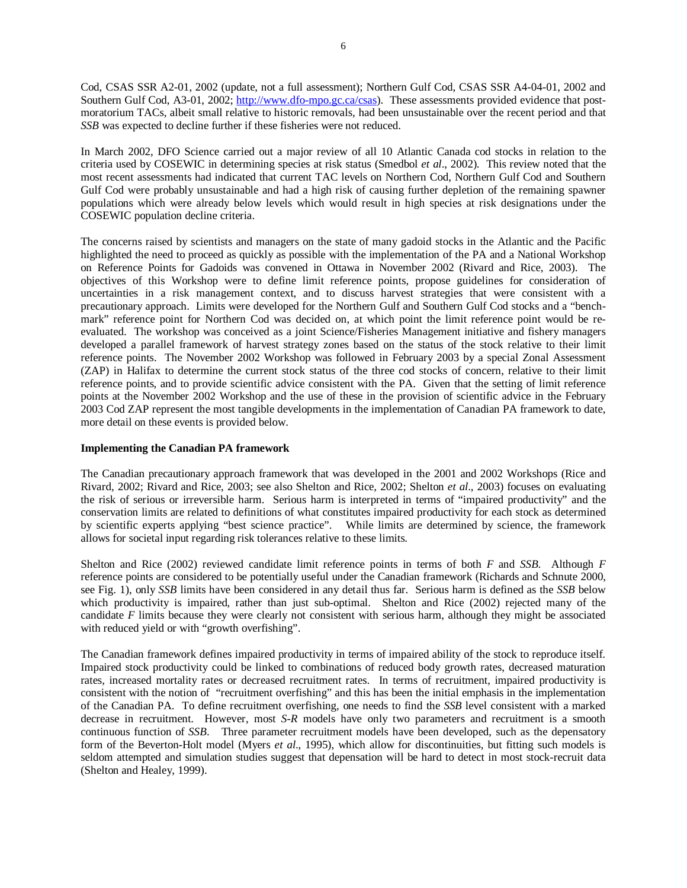Cod, CSAS SSR A2-01, 2002 (update, not a full assessment); Northern Gulf Cod, CSAS SSR A4-04-01, 2002 and Southern Gulf Cod, A3-01, 2002; http://www.dfo-mpo.gc.ca/csas). These assessments provided evidence that postmoratorium TACs, albeit small relative to historic removals, had been unsustainable over the recent period and that *SSB* was expected to decline further if these fisheries were not reduced.

In March 2002, DFO Science carried out a major review of all 10 Atlantic Canada cod stocks in relation to the criteria used by COSEWIC in determining species at risk status (Smedbol *et al*., 2002). This review noted that the most recent assessments had indicated that current TAC levels on Northern Cod, Northern Gulf Cod and Southern Gulf Cod were probably unsustainable and had a high risk of causing further depletion of the remaining spawner populations which were already below levels which would result in high species at risk designations under the COSEWIC population decline criteria.

The concerns raised by scientists and managers on the state of many gadoid stocks in the Atlantic and the Pacific highlighted the need to proceed as quickly as possible with the implementation of the PA and a National Workshop on Reference Points for Gadoids was convened in Ottawa in November 2002 (Rivard and Rice, 2003). The objectives of this Workshop were to define limit reference points, propose guidelines for consideration of uncertainties in a risk management context, and to discuss harvest strategies that were consistent with a precautionary approach. Limits were developed for the Northern Gulf and Southern Gulf Cod stocks and a "benchmark" reference point for Northern Cod was decided on, at which point the limit reference point would be reevaluated. The workshop was conceived as a joint Science/Fisheries Management initiative and fishery managers developed a parallel framework of harvest strategy zones based on the status of the stock relative to their limit reference points. The November 2002 Workshop was followed in February 2003 by a special Zonal Assessment (ZAP) in Halifax to determine the current stock status of the three cod stocks of concern, relative to their limit reference points, and to provide scientific advice consistent with the PA. Given that the setting of limit reference points at the November 2002 Workshop and the use of these in the provision of scientific advice in the February 2003 Cod ZAP represent the most tangible developments in the implementation of Canadian PA framework to date, more detail on these events is provided below.

# **Implementing the Canadian PA framework**

The Canadian precautionary approach framework that was developed in the 2001 and 2002 Workshops (Rice and Rivard, 2002; Rivard and Rice, 2003; see also Shelton and Rice, 2002; Shelton *et al*., 2003) focuses on evaluating the risk of serious or irreversible harm. Serious harm is interpreted in terms of "impaired productivity" and the conservation limits are related to definitions of what constitutes impaired productivity for each stock as determined by scientific experts applying "best science practice". While limits are determined by science, the framework allows for societal input regarding risk tolerances relative to these limits.

Shelton and Rice (2002) reviewed candidate limit reference points in terms of both *F* and *SSB*. Although *F* reference points are considered to be potentially useful under the Canadian framework (Richards and Schnute 2000, see Fig. 1), only *SSB* limits have been considered in any detail thus far. Serious harm is defined as the *SSB* below which productivity is impaired, rather than just sub-optimal. Shelton and Rice (2002) rejected many of the candidate *F* limits because they were clearly not consistent with serious harm, although they might be associated with reduced yield or with "growth overfishing".

The Canadian framework defines impaired productivity in terms of impaired ability of the stock to reproduce itself. Impaired stock productivity could be linked to combinations of reduced body growth rates, decreased maturation rates, increased mortality rates or decreased recruitment rates. In terms of recruitment, impaired productivity is consistent with the notion of "recruitment overfishing" and this has been the initial emphasis in the implementation of the Canadian PA. To define recruitment overfishing, one needs to find the *SSB* level consistent with a marked decrease in recruitment. However, most *S-R* models have only two parameters and recruitment is a smooth continuous function of *SSB*. Three parameter recruitment models have been developed, such as the depensatory form of the Beverton-Holt model (Myers *et al*., 1995), which allow for discontinuities, but fitting such models is seldom attempted and simulation studies suggest that depensation will be hard to detect in most stock-recruit data (Shelton and Healey, 1999).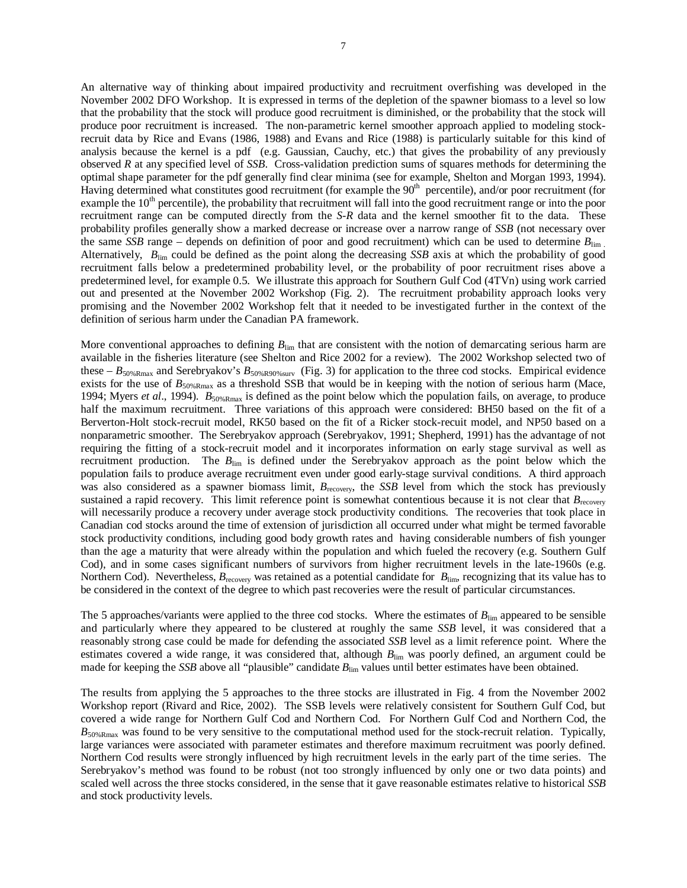An alternative way of thinking about impaired productivity and recruitment overfishing was developed in the November 2002 DFO Workshop. It is expressed in terms of the depletion of the spawner biomass to a level so low that the probability that the stock will produce good recruitment is diminished, or the probability that the stock will produce poor recruitment is increased. The non-parametric kernel smoother approach applied to modeling stockrecruit data by Rice and Evans (1986, 1988) and Evans and Rice (1988) is particularly suitable for this kind of analysis because the kernel is a pdf (e.g. Gaussian, Cauchy, etc.) that gives the probability of any previously observed *R* at any specified level of *SSB*. Cross-validation prediction sums of squares methods for determining the optimal shape parameter for the pdf generally find clear minima (see for example, Shelton and Morgan 1993, 1994). Having determined what constitutes good recruitment (for example the  $90<sup>th</sup>$  percentile), and/or poor recruitment (for example the 10<sup>th</sup> percentile), the probability that recruitment will fall into the good recruitment range or into the poor recruitment range can be computed directly from the *S-R* data and the kernel smoother fit to the data. These probability profiles generally show a marked decrease or increase over a narrow range of *SSB* (not necessary over the same *SSB* range – depends on definition of poor and good recruitment) which can be used to determine  $B_{\text{lim}}$ Alternatively, *B*lim could be defined as the point along the decreasing *SSB* axis at which the probability of good recruitment falls below a predetermined probability level, or the probability of poor recruitment rises above a predetermined level, for example 0.5. We illustrate this approach for Southern Gulf Cod (4TVn) using work carried out and presented at the November 2002 Workshop (Fig. 2). The recruitment probability approach looks very promising and the November 2002 Workshop felt that it needed to be investigated further in the context of the definition of serious harm under the Canadian PA framework.

More conventional approaches to defining  $B_{\text{lim}}$  that are consistent with the notion of demarcating serious harm are available in the fisheries literature (see Shelton and Rice 2002 for a review). The 2002 Workshop selected two of these  $-B_{50\%Rmax}$  and Serebryakov's  $B_{50\%R90\%surv}$  (Fig. 3) for application to the three cod stocks. Empirical evidence exists for the use of  $B_{50\%Rmax}$  as a threshold SSB that would be in keeping with the notion of serious harm (Mace, 1994; Myers *et al*., 1994). *B*50%Rmax is defined as the point below which the population fails, on average, to produce half the maximum recruitment. Three variations of this approach were considered: BH50 based on the fit of a Berverton-Holt stock-recruit model, RK50 based on the fit of a Ricker stock-recuit model, and NP50 based on a nonparametric smoother. The Serebryakov approach (Serebryakov, 1991; Shepherd, 1991) has the advantage of not requiring the fitting of a stock-recruit model and it incorporates information on early stage survival as well as recruitment production. The *B*<sub>lim</sub> is defined under the Serebryakov approach as the point below which the population fails to produce average recruitment even under good early-stage survival conditions. A third approach was also considered as a spawner biomass limit,  $B_{\text{recovery}}$ , the *SSB* level from which the stock has previously sustained a rapid recovery. This limit reference point is somewhat contentious because it is not clear that  $B_{\text{recovery}}$ . will necessarily produce a recovery under average stock productivity conditions. The recoveries that took place in Canadian cod stocks around the time of extension of jurisdiction all occurred under what might be termed favorable stock productivity conditions, including good body growth rates and having considerable numbers of fish younger than the age a maturity that were already within the population and which fueled the recovery (e.g. Southern Gulf Cod), and in some cases significant numbers of survivors from higher recruitment levels in the late-1960s (e.g. Northern Cod). Nevertheless,  $B_{\text{recovery}}$  was retained as a potential candidate for  $B_{\text{lim}}$ , recognizing that its value has to be considered in the context of the degree to which past recoveries were the result of particular circumstances.

The 5 approaches/variants were applied to the three cod stocks. Where the estimates of  $B_{\text{lim}}$  appeared to be sensible and particularly where they appeared to be clustered at roughly the same *SSB* level, it was considered that a reasonably strong case could be made for defending the associated *SSB* level as a limit reference point. Where the estimates covered a wide range, it was considered that, although *B*<sub>lim</sub> was poorly defined, an argument could be made for keeping the *SSB* above all "plausible" candidate  $B_{\text{lim}}$  values until better estimates have been obtained.

The results from applying the 5 approaches to the three stocks are illustrated in Fig. 4 from the November 2002 Workshop report (Rivard and Rice, 2002). The SSB levels were relatively consistent for Southern Gulf Cod, but covered a wide range for Northern Gulf Cod and Northern Cod. For Northern Gulf Cod and Northern Cod, the  $B_{50\%R\text{max}}$  was found to be very sensitive to the computational method used for the stock-recruit relation. Typically, large variances were associated with parameter estimates and therefore maximum recruitment was poorly defined. Northern Cod results were strongly influenced by high recruitment levels in the early part of the time series. The Serebryakov's method was found to be robust (not too strongly influenced by only one or two data points) and scaled well across the three stocks considered, in the sense that it gave reasonable estimates relative to historical *SSB* and stock productivity levels.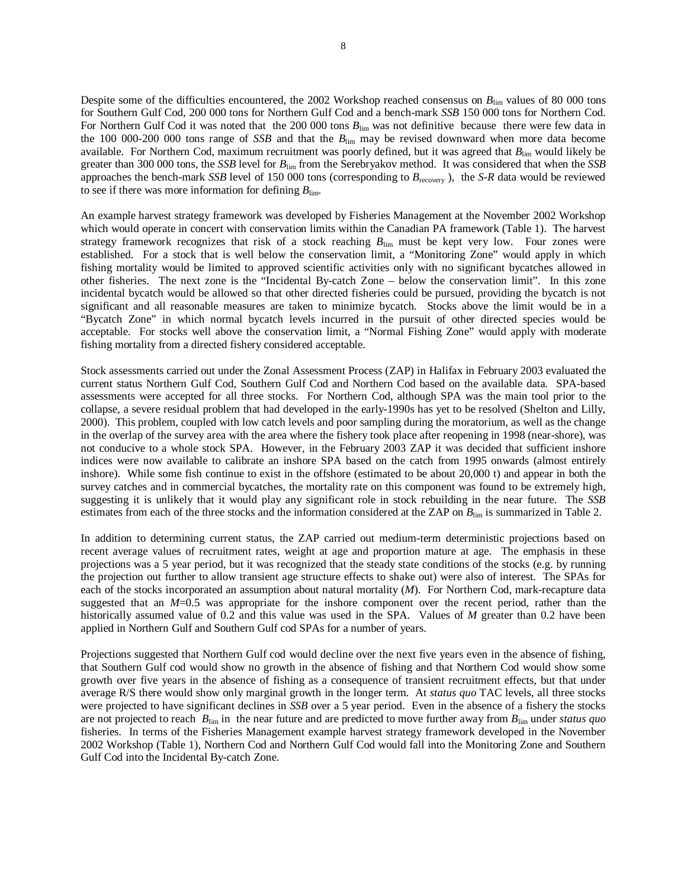Despite some of the difficulties encountered, the 2002 Workshop reached consensus on  $B_{\text{lim}}$  values of 80 000 tons for Southern Gulf Cod, 200 000 tons for Northern Gulf Cod and a bench-mark *SSB* 150 000 tons for Northern Cod. For Northern Gulf Cod it was noted that the 200 000 tons  $B_{\text{lim}}$  was not definitive because there were few data in the 100 000-200 000 tons range of *SSB* and that the *B*lim may be revised downward when more data become available. For Northern Cod, maximum recruitment was poorly defined, but it was agreed that *B*lim would likely be greater than 300 000 tons, the *SSB* level for *B*lim from the Serebryakov method. It was considered that when the *SSB* approaches the bench-mark *SSB* level of 150 000 tons (corresponding to *B*recovery ), the *S-R* data would be reviewed to see if there was more information for defining  $B_{\text{lim}}$ .

An example harvest strategy framework was developed by Fisheries Management at the November 2002 Workshop which would operate in concert with conservation limits within the Canadian PA framework (Table 1). The harvest strategy framework recognizes that risk of a stock reaching  $B_{\text{lim}}$  must be kept very low. Four zones were established. For a stock that is well below the conservation limit, a "Monitoring Zone" would apply in which fishing mortality would be limited to approved scientific activities only with no significant bycatches allowed in other fisheries. The next zone is the "Incidental By-catch Zone – below the conservation limit". In this zone incidental bycatch would be allowed so that other directed fisheries could be pursued, providing the bycatch is not significant and all reasonable measures are taken to minimize bycatch. Stocks above the limit would be in a "Bycatch Zone" in which normal bycatch levels incurred in the pursuit of other directed species would be acceptable. For stocks well above the conservation limit, a "Normal Fishing Zone" would apply with moderate fishing mortality from a directed fishery considered acceptable.

Stock assessments carried out under the Zonal Assessment Process (ZAP) in Halifax in February 2003 evaluated the current status Northern Gulf Cod, Southern Gulf Cod and Northern Cod based on the available data. SPA-based assessments were accepted for all three stocks. For Northern Cod, although SPA was the main tool prior to the collapse, a severe residual problem that had developed in the early-1990s has yet to be resolved (Shelton and Lilly, 2000). This problem, coupled with low catch levels and poor sampling during the moratorium, as well as the change in the overlap of the survey area with the area where the fishery took place after reopening in 1998 (near-shore), was not conducive to a whole stock SPA. However, in the February 2003 ZAP it was decided that sufficient inshore indices were now available to calibrate an inshore SPA based on the catch from 1995 onwards (almost entirely inshore). While some fish continue to exist in the offshore (estimated to be about 20,000 t) and appear in both the survey catches and in commercial bycatches, the mortality rate on this component was found to be extremely high, suggesting it is unlikely that it would play any significant role in stock rebuilding in the near future. The *SSB* estimates from each of the three stocks and the information considered at the ZAP on  $B_{\text{lim}}$  is summarized in Table 2.

In addition to determining current status, the ZAP carried out medium-term deterministic projections based on recent average values of recruitment rates, weight at age and proportion mature at age. The emphasis in these projections was a 5 year period, but it was recognized that the steady state conditions of the stocks (e.g. by running the projection out further to allow transient age structure effects to shake out) were also of interest. The SPAs for each of the stocks incorporated an assumption about natural mortality (*M*). For Northern Cod, mark-recapture data suggested that an *M*=0.5 was appropriate for the inshore component over the recent period, rather than the historically assumed value of 0.2 and this value was used in the SPA. Values of *M* greater than 0.2 have been applied in Northern Gulf and Southern Gulf cod SPAs for a number of years.

Projections suggested that Northern Gulf cod would decline over the next five years even in the absence of fishing, that Southern Gulf cod would show no growth in the absence of fishing and that Northern Cod would show some growth over five years in the absence of fishing as a consequence of transient recruitment effects, but that under average R/S there would show only marginal growth in the longer term. At *status quo* TAC levels, all three stocks were projected to have significant declines in *SSB* over a 5 year period. Even in the absence of a fishery the stocks are not projected to reach *B*lim in the near future and are predicted to move further away from *B*lim under *status quo* fisheries. In terms of the Fisheries Management example harvest strategy framework developed in the November 2002 Workshop (Table 1), Northern Cod and Northern Gulf Cod would fall into the Monitoring Zone and Southern Gulf Cod into the Incidental By-catch Zone.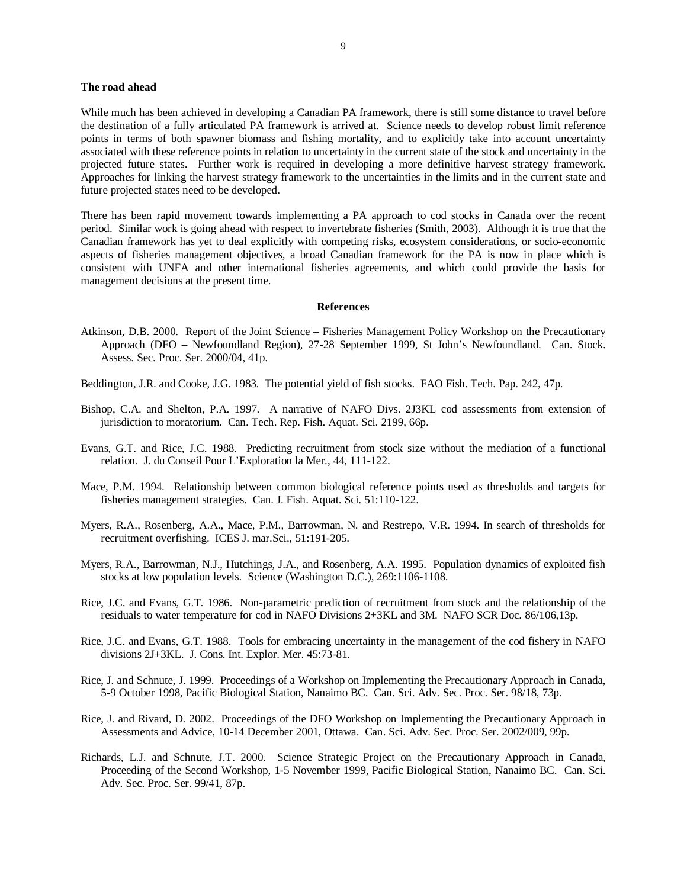#### **The road ahead**

While much has been achieved in developing a Canadian PA framework, there is still some distance to travel before the destination of a fully articulated PA framework is arrived at. Science needs to develop robust limit reference points in terms of both spawner biomass and fishing mortality, and to explicitly take into account uncertainty associated with these reference points in relation to uncertainty in the current state of the stock and uncertainty in the projected future states. Further work is required in developing a more definitive harvest strategy framework. Approaches for linking the harvest strategy framework to the uncertainties in the limits and in the current state and future projected states need to be developed.

There has been rapid movement towards implementing a PA approach to cod stocks in Canada over the recent period. Similar work is going ahead with respect to invertebrate fisheries (Smith, 2003). Although it is true that the Canadian framework has yet to deal explicitly with competing risks, ecosystem considerations, or socio-economic aspects of fisheries management objectives, a broad Canadian framework for the PA is now in place which is consistent with UNFA and other international fisheries agreements, and which could provide the basis for management decisions at the present time.

#### **References**

- Atkinson, D.B. 2000. Report of the Joint Science Fisheries Management Policy Workshop on the Precautionary Approach (DFO – Newfoundland Region), 27-28 September 1999, St John's Newfoundland. Can. Stock. Assess. Sec. Proc. Ser. 2000/04, 41p.
- Beddington, J.R. and Cooke, J.G. 1983. The potential yield of fish stocks. FAO Fish. Tech. Pap. 242, 47p.
- Bishop, C.A. and Shelton, P.A. 1997. A narrative of NAFO Divs. 2J3KL cod assessments from extension of jurisdiction to moratorium. Can. Tech. Rep. Fish. Aquat. Sci. 2199, 66p.
- Evans, G.T. and Rice, J.C. 1988. Predicting recruitment from stock size without the mediation of a functional relation. J. du Conseil Pour L'Exploration la Mer., 44, 111-122.
- Mace, P.M. 1994. Relationship between common biological reference points used as thresholds and targets for fisheries management strategies. Can. J. Fish. Aquat. Sci. 51:110-122.
- Myers, R.A., Rosenberg, A.A., Mace, P.M., Barrowman, N. and Restrepo, V.R. 1994. In search of thresholds for recruitment overfishing. ICES J. mar.Sci., 51:191-205.
- Myers, R.A., Barrowman, N.J., Hutchings, J.A., and Rosenberg, A.A. 1995. Population dynamics of exploited fish stocks at low population levels. Science (Washington D.C.), 269:1106-1108.
- Rice, J.C. and Evans, G.T. 1986. Non-parametric prediction of recruitment from stock and the relationship of the residuals to water temperature for cod in NAFO Divisions 2+3KL and 3M. NAFO SCR Doc. 86/106,13p.
- Rice, J.C. and Evans, G.T. 1988. Tools for embracing uncertainty in the management of the cod fishery in NAFO divisions 2J+3KL. J. Cons. Int. Explor. Mer. 45:73-81.
- Rice, J. and Schnute, J. 1999. Proceedings of a Workshop on Implementing the Precautionary Approach in Canada, 5-9 October 1998, Pacific Biological Station, Nanaimo BC. Can. Sci. Adv. Sec. Proc. Ser. 98/18, 73p.
- Rice, J. and Rivard, D. 2002. Proceedings of the DFO Workshop on Implementing the Precautionary Approach in Assessments and Advice, 10-14 December 2001, Ottawa. Can. Sci. Adv. Sec. Proc. Ser. 2002/009, 99p.
- Richards, L.J. and Schnute, J.T. 2000. Science Strategic Project on the Precautionary Approach in Canada, Proceeding of the Second Workshop, 1-5 November 1999, Pacific Biological Station, Nanaimo BC. Can. Sci. Adv. Sec. Proc. Ser. 99/41, 87p.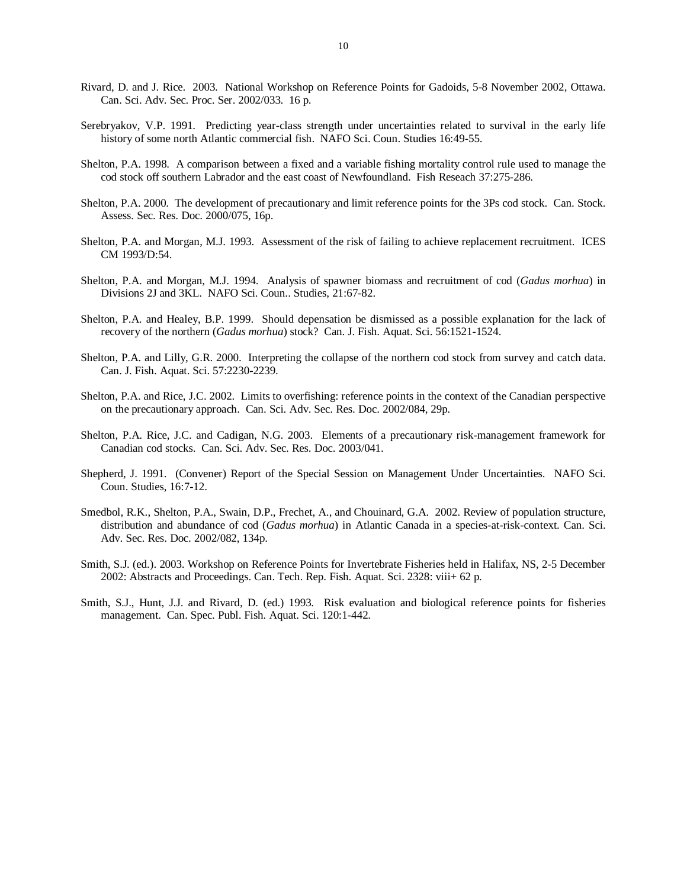- Rivard, D. and J. Rice. 2003. National Workshop on Reference Points for Gadoids, 5-8 November 2002, Ottawa. Can. Sci. Adv. Sec. Proc. Ser. 2002/033. 16 p.
- Serebryakov, V.P. 1991. Predicting year-class strength under uncertainties related to survival in the early life history of some north Atlantic commercial fish. NAFO Sci. Coun. Studies 16:49-55.
- Shelton, P.A. 1998. A comparison between a fixed and a variable fishing mortality control rule used to manage the cod stock off southern Labrador and the east coast of Newfoundland. Fish Reseach 37:275-286.
- Shelton, P.A. 2000. The development of precautionary and limit reference points for the 3Ps cod stock. Can. Stock. Assess. Sec. Res. Doc. 2000/075, 16p.
- Shelton, P.A. and Morgan, M.J. 1993. Assessment of the risk of failing to achieve replacement recruitment. ICES CM 1993/D:54.
- Shelton, P.A. and Morgan, M.J. 1994. Analysis of spawner biomass and recruitment of cod (*Gadus morhua*) in Divisions 2J and 3KL. NAFO Sci. Coun.. Studies, 21:67-82.
- Shelton, P.A. and Healey, B.P. 1999. Should depensation be dismissed as a possible explanation for the lack of recovery of the northern (*Gadus morhua*) stock? Can. J. Fish. Aquat. Sci. 56:1521-1524.
- Shelton, P.A. and Lilly, G.R. 2000. Interpreting the collapse of the northern cod stock from survey and catch data. Can. J. Fish. Aquat. Sci. 57:2230-2239.
- Shelton, P.A. and Rice, J.C. 2002. Limits to overfishing: reference points in the context of the Canadian perspective on the precautionary approach. Can. Sci. Adv. Sec. Res. Doc. 2002/084, 29p.
- Shelton, P.A. Rice, J.C. and Cadigan, N.G. 2003. Elements of a precautionary risk-management framework for Canadian cod stocks. Can. Sci. Adv. Sec. Res. Doc. 2003/041.
- Shepherd, J. 1991. (Convener) Report of the Special Session on Management Under Uncertainties. NAFO Sci. Coun. Studies, 16:7-12.
- Smedbol, R.K., Shelton, P.A., Swain, D.P., Frechet, A., and Chouinard, G.A. 2002. Review of population structure, distribution and abundance of cod (*Gadus morhua*) in Atlantic Canada in a species-at-risk-context. Can. Sci. Adv. Sec. Res. Doc. 2002/082, 134p.
- Smith, S.J. (ed.). 2003. Workshop on Reference Points for Invertebrate Fisheries held in Halifax, NS, 2-5 December 2002: Abstracts and Proceedings. Can. Tech. Rep. Fish. Aquat. Sci. 2328: viii+ 62 p.
- Smith, S.J., Hunt, J.J. and Rivard, D. (ed.) 1993. Risk evaluation and biological reference points for fisheries management. Can. Spec. Publ. Fish. Aquat. Sci. 120:1-442.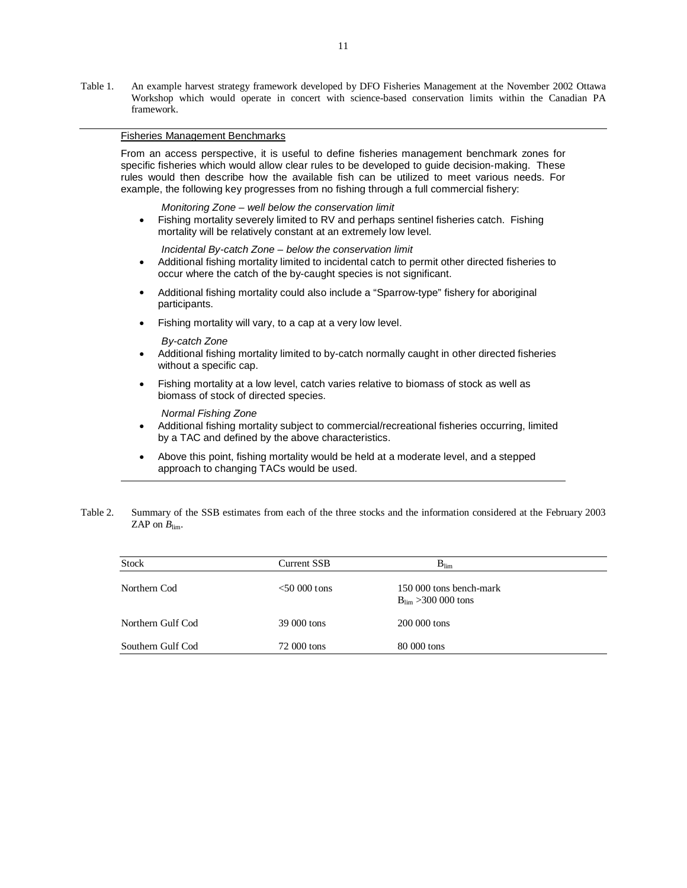Table 1. An example harvest strategy framework developed by DFO Fisheries Management at the November 2002 Ottawa Workshop which would operate in concert with science-based conservation limits within the Canadian PA framework.

# Fisheries Management Benchmarks

From an access perspective, it is useful to define fisheries management benchmark zones for specific fisheries which would allow clear rules to be developed to guide decision-making. These rules would then describe how the available fish can be utilized to meet various needs. For example, the following key progresses from no fishing through a full commercial fishery:

#### *Monitoring Zone – well below the conservation limit*

• Fishing mortality severely limited to RV and perhaps sentinel fisheries catch. Fishing mortality will be relatively constant at an extremely low level.

*Incidental By-catch Zone – below the conservation limit* 

- Additional fishing mortality limited to incidental catch to permit other directed fisheries to occur where the catch of the by-caught species is not significant.
- Additional fishing mortality could also include a "Sparrow-type" fishery for aboriginal participants.
- Fishing mortality will vary, to a cap at a very low level.

#### *By-catch Zone*

- Additional fishing mortality limited to by-catch normally caught in other directed fisheries without a specific cap.
- Fishing mortality at a low level, catch varies relative to biomass of stock as well as biomass of stock of directed species.

#### *Normal Fishing Zone*

- Additional fishing mortality subject to commercial/recreational fisheries occurring, limited by a TAC and defined by the above characteristics.
- Above this point, fishing mortality would be held at a moderate level, and a stepped approach to changing TACs would be used.
- Table 2. Summary of the SSB estimates from each of the three stocks and the information considered at the February 2003 ZAP on  $B_{\text{lim}}$ .

| <b>Stock</b>      | Current SSB     | $B_{\text{lim}}$                                           |  |
|-------------------|-----------------|------------------------------------------------------------|--|
| Northern Cod      | $<$ 50 000 tons | 150 000 tons bench-mark<br>$B_{\text{lim}} > 300 000$ tons |  |
| Northern Gulf Cod | 39 000 tons     | 200 000 tons                                               |  |
| Southern Gulf Cod | 72 000 tons     | 80 000 tons                                                |  |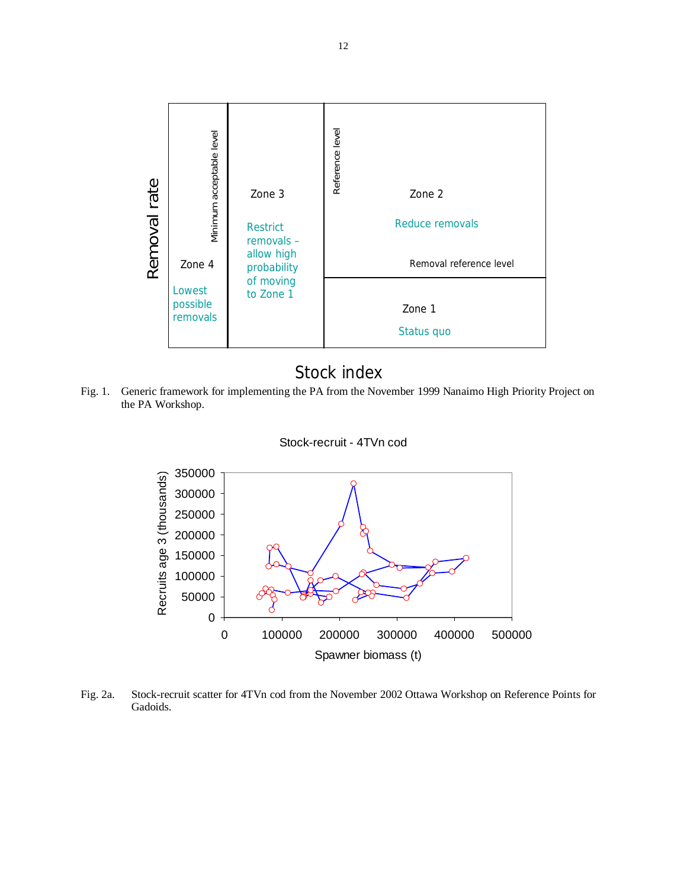

# Stock index

Fig. 1. Generic framework for implementing the PA from the November 1999 Nanaimo High Priority Project on the PA Workshop.





Fig. 2a. Stock-recruit scatter for 4TVn cod from the November 2002 Ottawa Workshop on Reference Points for Gadoids.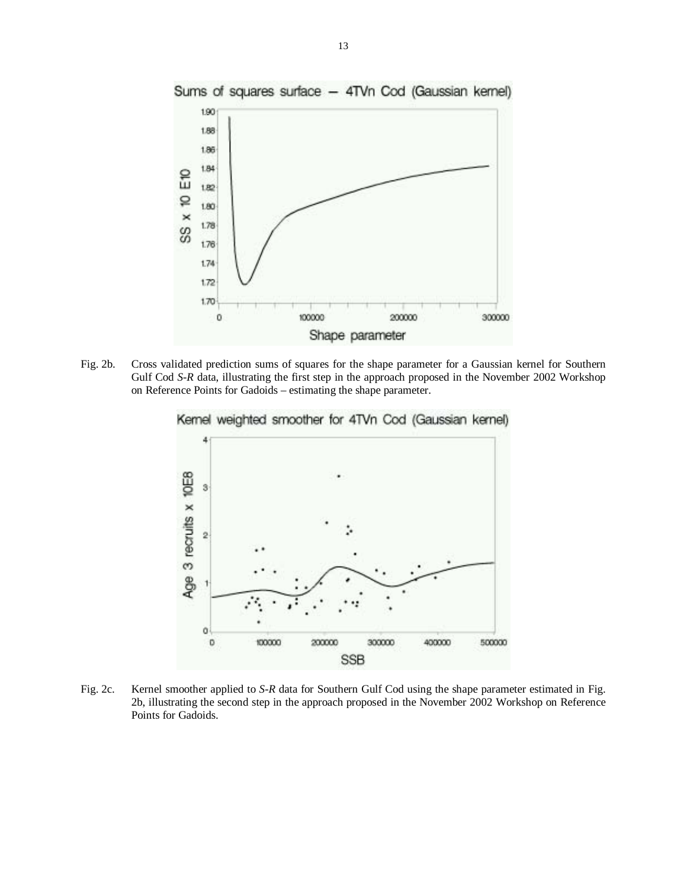

Fig. 2b. Cross validated prediction sums of squares for the shape parameter for a Gaussian kernel for Southern Gulf Cod *S-R* data, illustrating the first step in the approach proposed in the November 2002 Workshop on Reference Points for Gadoids – estimating the shape parameter.



Kernel weighted smoother for 4TVn Cod (Gaussian kernel)

Fig. 2c. Kernel smoother applied to *S-R* data for Southern Gulf Cod using the shape parameter estimated in Fig. 2b, illustrating the second step in the approach proposed in the November 2002 Workshop on Reference Points for Gadoids.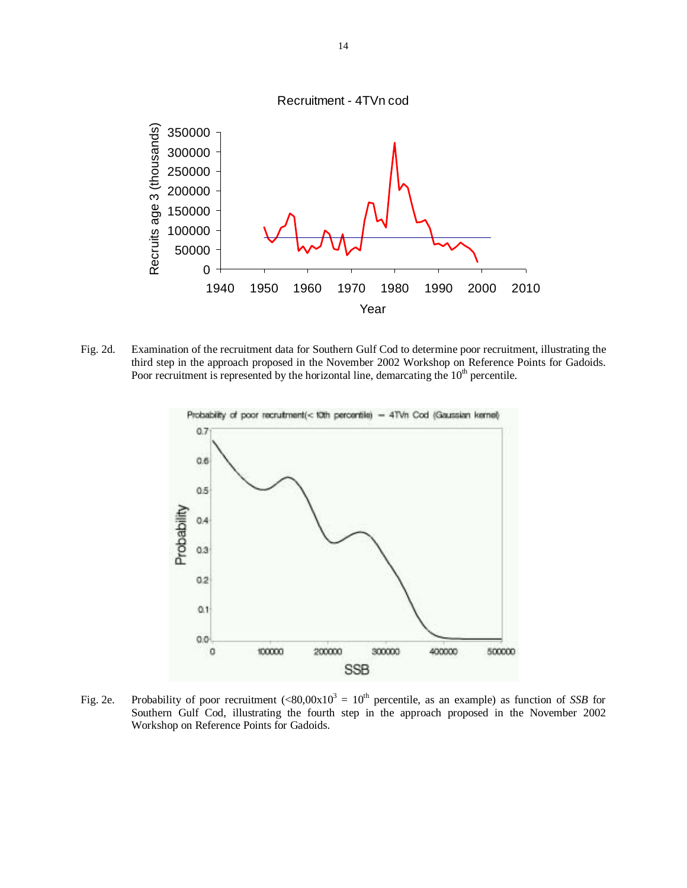

Fig. 2d. Examination of the recruitment data for Southern Gulf Cod to determine poor recruitment, illustrating the third step in the approach proposed in the November 2002 Workshop on Reference Points for Gadoids. Poor recruitment is represented by the horizontal line, demarcating the  $10<sup>th</sup>$  percentile.



Fig. 2e. Probability of poor recruitment  $(<80,00x10^3 = 10^{th}$  percentile, as an example) as function of *SSB* for Southern Gulf Cod, illustrating the fourth step in the approach proposed in the November 2002 Workshop on Reference Points for Gadoids.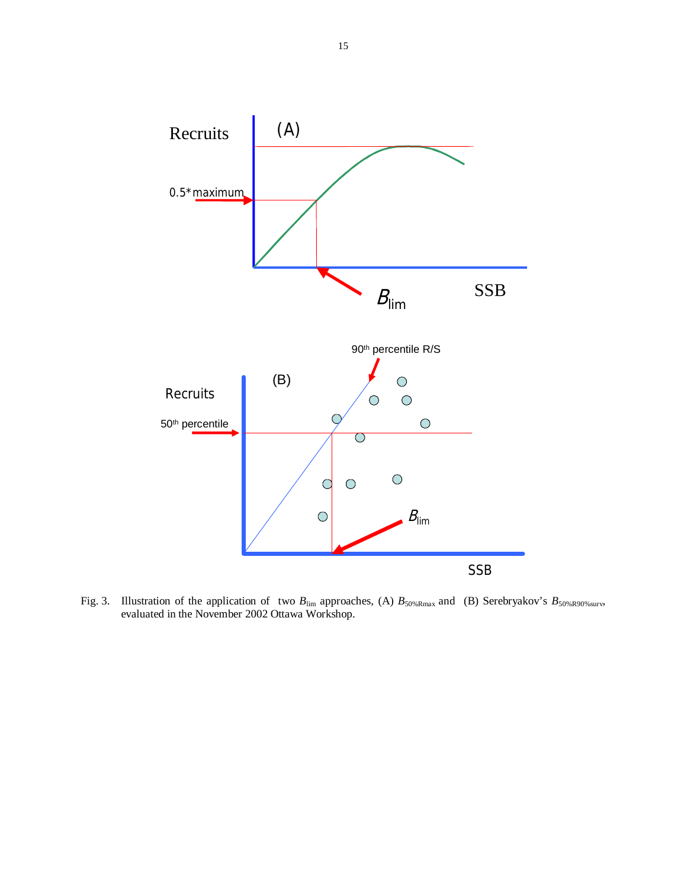

Fig. 3. Illustration of the application of two  $B_{\text{lim}}$  approaches, (A)  $B_{50\%Rmax}$  and (B) Serebryakov's  $B_{50\%R90\%surv}$ , evaluated in the November 2002 Ottawa Workshop.